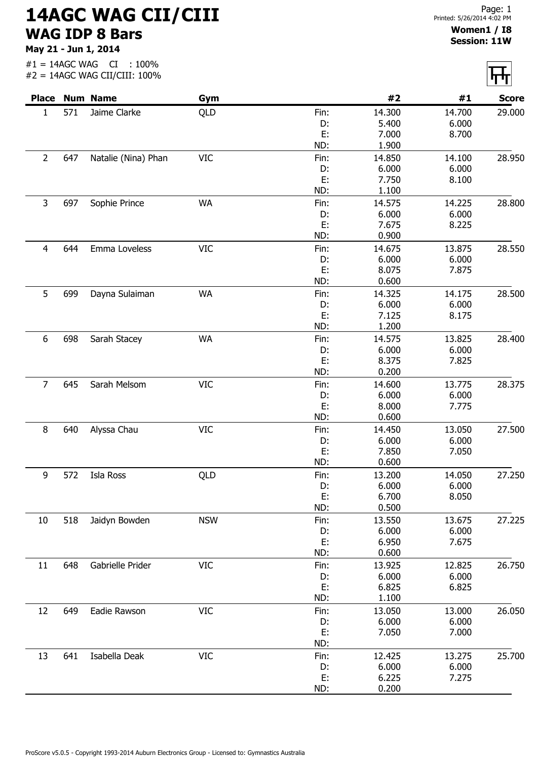## 14AGC WAG CII/CIII WAG IDP 8 Bars

May 21 - Jun 1, 2014

## Women1 / I8 Session: 11W

|                |     | <b>Place Num Name</b> | Gym        |      | #2     | #1     | <b>Score</b> |
|----------------|-----|-----------------------|------------|------|--------|--------|--------------|
| $\mathbf{1}$   | 571 | Jaime Clarke          | QLD        | Fin: | 14.300 | 14.700 | 29.000       |
|                |     |                       |            | D:   | 5.400  | 6.000  |              |
|                |     |                       |            | E:   | 7.000  | 8.700  |              |
|                |     |                       |            | ND:  | 1.900  |        |              |
| $\overline{2}$ | 647 | Natalie (Nina) Phan   | <b>VIC</b> | Fin: | 14.850 | 14.100 | 28.950       |
|                |     |                       |            | D:   | 6.000  | 6.000  |              |
|                |     |                       |            | E:   | 7.750  | 8.100  |              |
|                |     |                       |            | ND:  | 1.100  |        |              |
| 3              | 697 | Sophie Prince         | <b>WA</b>  | Fin: | 14.575 | 14.225 | 28.800       |
|                |     |                       |            | D:   | 6.000  | 6.000  |              |
|                |     |                       |            | E:   | 7.675  | 8.225  |              |
|                |     |                       |            | ND:  | 0.900  |        |              |
| $\overline{4}$ | 644 | Emma Loveless         | <b>VIC</b> | Fin: | 14.675 | 13.875 | 28.550       |
|                |     |                       |            | D:   | 6.000  | 6.000  |              |
|                |     |                       |            | E:   | 8.075  | 7.875  |              |
|                |     |                       |            | ND:  | 0.600  |        |              |
| 5              | 699 |                       | <b>WA</b>  | Fin: | 14.325 | 14.175 | 28.500       |
|                |     | Dayna Sulaiman        |            | D:   | 6.000  | 6.000  |              |
|                |     |                       |            | E:   | 7.125  | 8.175  |              |
|                |     |                       |            | ND:  | 1.200  |        |              |
|                |     |                       |            |      |        |        |              |
| 6              | 698 | Sarah Stacey          | WA         | Fin: | 14.575 | 13.825 | 28.400       |
|                |     |                       |            | D:   | 6.000  | 6.000  |              |
|                |     |                       |            | E:   | 8.375  | 7.825  |              |
|                |     |                       |            | ND:  | 0.200  |        |              |
| $\overline{7}$ | 645 | Sarah Melsom          | <b>VIC</b> | Fin: | 14.600 | 13.775 | 28.375       |
|                |     |                       |            | D:   | 6.000  | 6.000  |              |
|                |     |                       |            | E:   | 8.000  | 7.775  |              |
|                |     |                       |            | ND:  | 0.600  |        |              |
| 8              | 640 | Alyssa Chau           | <b>VIC</b> | Fin: | 14.450 | 13.050 | 27.500       |
|                |     |                       |            | D:   | 6.000  | 6.000  |              |
|                |     |                       |            | E:   | 7.850  | 7.050  |              |
|                |     |                       |            | ND:  | 0.600  |        |              |
| 9              | 572 | Isla Ross             | QLD        | Fin: | 13.200 | 14.050 | 27.250       |
|                |     |                       |            | D:   | 6.000  | 6.000  |              |
|                |     |                       |            | E:   | 6.700  | 8.050  |              |
|                |     |                       |            | ND:  | 0.500  |        |              |
| 10             | 518 | Jaidyn Bowden         | <b>NSW</b> | Fin: | 13.550 | 13.675 | 27.225       |
|                |     |                       |            | D:   | 6.000  | 6.000  |              |
|                |     |                       |            | E:   | 6.950  | 7.675  |              |
|                |     |                       |            | ND:  | 0.600  |        |              |
| 11             | 648 | Gabrielle Prider      | <b>VIC</b> | Fin: | 13.925 | 12.825 | 26.750       |
|                |     |                       |            | D:   | 6.000  | 6.000  |              |
|                |     |                       |            | E:   | 6.825  | 6.825  |              |
|                |     |                       |            | ND:  | 1.100  |        |              |
| 12             | 649 | Eadie Rawson          | <b>VIC</b> | Fin: | 13.050 | 13.000 | 26.050       |
|                |     |                       |            | D:   | 6.000  | 6.000  |              |
|                |     |                       |            | E:   | 7.050  | 7.000  |              |
|                |     |                       |            | ND:  |        |        |              |
| 13             | 641 | Isabella Deak         | <b>VIC</b> | Fin: | 12.425 | 13.275 | 25.700       |
|                |     |                       |            | D:   | 6.000  | 6.000  |              |
|                |     |                       |            | E:   | 6.225  | 7.275  |              |
|                |     |                       |            | ND:  | 0.200  |        |              |